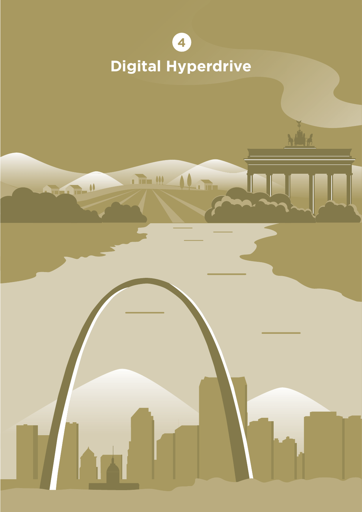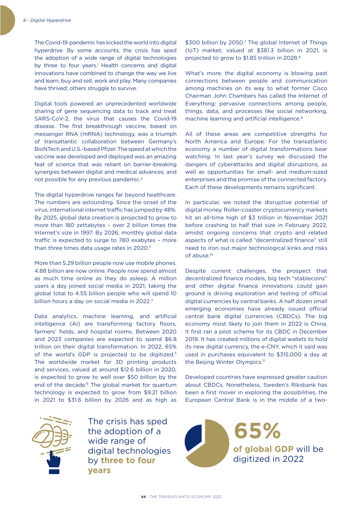The Covid-19 pandemic has kicked the world into digital hyperdrive. By some accounts, the crisis has sped the adoption of a wide range of digital technologies by three to four years.<sup>1</sup> Health concerns and digital innovations have combined to change the way we live and learn, buy and sell, work and play. Many companies have thrived; others struggle to survive.

Digital tools powered an unprecedented worldwide sharing of gene sequencing data to track and treat SARS-CoV-2, the virus that causes the Covid-19 disease. The first breakthrough vaccine, based on messenger RNA (mRNA) technology, was a triumph of transatlantic collaboration between Germany's BioNTech and U.S.-based Pfizer. The speed at which the vaccine was developed and deployed was an amazing feat of science that was reliant on barrier-breaking synergies between digital and medical advances, and not possible for any previous pandemic.2

The digital hyperdrive ranges far beyond healthcare. The numbers are astounding. Since the onset of the virus, international internet traffic has jumped by 48%. By 2025, global data creation is projected to grow to more than 180 zettabytes – over 2 billion times the Internet's size in 1997. By 2026, monthly global data traffic is expected to surge to 780 exabytes – more than three times data usage rates in 2020.<sup>3</sup>

More than 5.29 billion people now use mobile phones. 4.88 billion are now online. People now spend almost as much time online as they do asleep. A million users a day joined social media in 2021, taking the global total to 4.55 billion people who will spend 10 billion hours a day on social media in 2022.4

Data analytics, machine learning, and artificial intelligence (AI) are transforming factory floors, farmers' fields, and hospital rooms. Between 2020 and 2023 companies are expected to spend \$6.8 trillion on their digital transformation. In 2022, 65% of the world's GDP is projected to be digitized.<sup>5</sup> The worldwide market for 3D printing products and services, valued at around \$12.6 billion in 2020, is expected to grow to well over \$50 billion by the end of the decade.<sup>6</sup> The global market for quantum technology is expected to grow from \$9.21 billion in 2021 to \$31.6 billion by 2026 and as high as



the adoption of a wide range of digital technologies by **three to four years**

\$300 billion by 2050.<sup>7</sup> The global Internet of Things (IoT) market, valued at \$381.3 billion in 2021, is projected to grow to \$1.85 trillion in 2028.<sup>8</sup>

What's more, the digital economy is blowing past connections between people and communication among machines on its way to what former Cisco Chairman John Chambers has called the Internet of Everything: pervasive connections among people, things, data, and processes like social networking, machine learning and artificial intelligence.<sup>9</sup>

All of these areas are competitive strengths for North America and Europe. For the transatlantic economy a number of digital transformations bear watching. In last year's survey we discussed the dangers of cyberattacks and digital disruptions, as well as opportunities for small- and medium-sized enterprises and the promise of the connected factory. Each of these developments remains significant.

In particular, we noted the disruptive potential of digital money. Roller-coaster cryptocurrency markets hit an all-time high of \$3 trillion in November 2021 before crashing to half that size in February 2022, amidst ongoing concerns that crypto and related aspects of what is called "decentralized finance" still need to iron out major technological kinks and risks of abuse.10

Despite current challenges, the prospect that decentralized finance models, big tech "stablecoins" and other digital finance innovations could gain ground is driving exploration and testing of official digital currencies by central banks. A half dozen small emerging economies have already issued official central bank digital currencies (CBDCs). The big economy most likely to join them in 2022 is China. It first ran a pilot scheme for its CBDC in December 2019. It has created millions of digital wallets to hold its new digital currency, the e-CNY, which it said was used in purchases equivalent to \$315,000 a day at the Beijing Winter Olympics.<sup>11</sup>

Developed countries have expressed greater caution about CBDCs. Nonetheless, Sweden's Riksbank has been a first mover in exploring the possibilities, the European Central Bank is in the middle of a two-

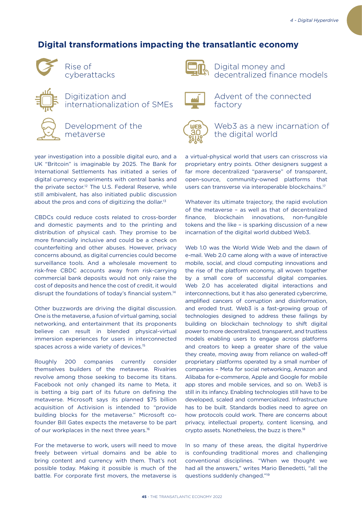# **Digital transformations impacting the transatlantic economy**



Rise of cyberattacks



Digital money and decentralized finance models



Digitization and internationalization of SMEs

Development of the metaverse

year investigation into a possible digital euro, and a UK "Britcoin" is imaginable by 2025. The Bank for International Settlements has initiated a series of digital currency experiments with central banks and the private sector.<sup>12</sup> The U.S. Federal Reserve, while still ambivalent, has also initiated public discussion about the pros and cons of digitizing the dollar.<sup>13</sup>

CBDCs could reduce costs related to cross-border and domestic payments and to the printing and distribution of physical cash. They promise to be more financially inclusive and could be a check on counterfeiting and other abuses. However, privacy concerns abound, as digital currencies could become surveillance tools. And a wholesale movement to risk-free CBDC accounts away from risk-carrying commercial bank deposits would not only raise the cost of deposits and hence the cost of credit, it would disrupt the foundations of today's financial system.14

Other buzzwords are driving the digital discussion. One is the metaverse, a fusion of virtual gaming, social networking, and entertainment that its proponents believe can result in blended physical-virtual immersion experiences for users in interconnected spaces across a wide variety of devices.<sup>15</sup>

Roughly 200 companies currently consider themselves builders of the metaverse. Rivalries revolve among those seeking to become its titans. Facebook not only changed its name to Meta, it is betting a big part of its future on defining the metaverse. Microsoft says its planned \$75 billion acquisition of Activision is intended to "provide building blocks for the metaverse." Microsoft cofounder Bill Gates expects the metaverse to be part of our workplaces in the next three years.16

For the metaverse to work, users will need to move freely between virtual domains and be able to bring content and currency with them. That's not possible today. Making it possible is much of the battle. For corporate first movers, the metaverse is



Advent of the connected factory



Web3 as a new incarnation of the digital world

a virtual-physical world that users can crisscross via proprietary entry points. Other designers suggest a far more decentralized "paraverse" of transparent, open-source, community-owned platforms that users can transverse via interoperable blockchains.17

Whatever its ultimate trajectory, the rapid evolution of the metaverse – as well as that of decentralized finance, blockchain innovations, non-fungible tokens and the like – is sparking discussion of a new incarnation of the digital world dubbed Web3.

Web 1.0 was the World Wide Web and the dawn of e-mail. Web 2.0 came along with a wave of interactive mobile, social, and cloud computing innovations and the rise of the platform economy, all woven together by a small core of successful digital companies. Web 2.0 has accelerated digital interactions and interconnections, but it has also generated cybercrime, amplified cancers of corruption and disinformation, and eroded trust. Web3 is a fast-growing group of technologies designed to address these failings by building on blockchain technology to shift digital power to more decentralized, transparent, and trustless models enabling users to engage across platforms and creators to keep a greater share of the value they create, moving away from reliance on walled-off proprietary platforms operated by a small number of companies – Meta for social networking, Amazon and Alibaba for e-commerce, Apple and Google for mobile app stores and mobile services, and so on. Web3 is still in its infancy. Enabling technologies still have to be developed, scaled and commercialized. Infrastructure has to be built. Standards bodies need to agree on how protocols could work. There are concerns about privacy, intellectual property, content licensing, and crypto assets. Nonetheless, the buzz is there.18

In so many of these areas, the digital hyperdrive is confounding traditional mores and challenging conventional disciplines. "When we thought we had all the answers," writes Mario Benedetti, "all the questions suddenly changed."19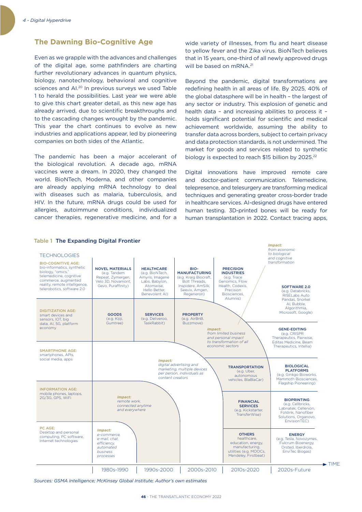## **The Dawning Bio-Cognitive Age**

Even as we grapple with the advances and challenges of the digital age, some pathfinders are charting further revolutionary advances in quantum physics, biology, nanotechnology, behavioral and cognitive sciences and AI.20 In previous surveys we used Table 1 to herald the possibilities. Last year we were able to give this chart greater detail, as this new age has already arrived, due to scientific breakthroughs and to the cascading changes wrought by the pandemic. This year the chart continues to evolve as new industries and applications appear, led by pioneering companies on both sides of the Atlantic.

The pandemic has been a major accelerant of the biological revolution. A decade ago, mRNA vaccines were a dream. In 2020, they changed the world. BioNTech, Moderna, and other companies are already applying mRNA technology to deal with diseases such as malaria, tuberculosis, and HIV. In the future, mRNA drugs could be used for allergies, autoimmune conditions, individualized cancer therapies, regenerative medicine, and for a wide variety of illnesses, from flu and heart disease to yellow fever and the Zika virus. BioNTech believes that in 15 years, one-third of all newly approved drugs will be based on mRNA.<sup>21</sup>

Beyond the pandemic, digital transformations are redefining health in all areas of life. By 2025, 40% of the global datasphere will be in health – the largest of any sector or industry. This explosion of genetic and health data – and increasing abilities to process it – holds significant potential for scientific and medical achievement worldwide, assuming the ability to transfer data across borders, subject to certain privacy and data protection standards, is not undermined. The market for goods and services related to synthetic biology is expected to reach \$15 billion by 2025.<sup>22</sup>

Digital innovations have improved remote care and doctor-patient communication. Telemedicine, telepresence, and telesurgery are transforming medical techniques and generating greater cross-border trade in healthcare services. AI-designed drugs have entered human testing. 3D-printed bones will be ready for human transplantation in 2022. Contact tracing apps,



Table 1 The Expanding Digital Frontier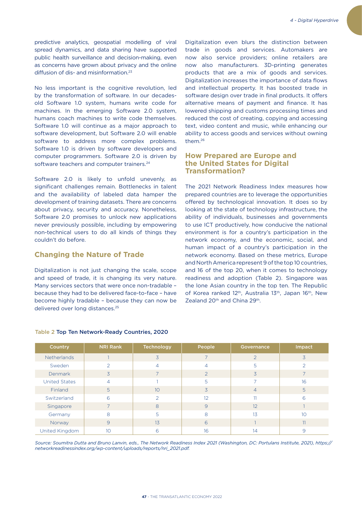predictive analytics, geospatial modelling of viral spread dynamics, and data sharing have supported public health surveillance and decision-making, even as concerns have grown about privacy and the online diffusion of dis- and misinformation.23

No less important is the cognitive revolution, led by the transformation of software. In our decadesold Software 1.0 system, humans write code for machines. In the emerging Software 2.0 system, humans coach machines to write code themselves. Software 1.0 will continue as a major approach to software development, but Software 2.0 will enable software to address more complex problems. Software 1.0 is driven by software developers and computer programmers. Software 2.0 is driven by software teachers and computer trainers.<sup>24</sup>

Software 2.0 is likely to unfold unevenly, as significant challenges remain. Bottlenecks in talent and the availability of labeled data hamper the development of training datasets. There are concerns about privacy, security and accuracy. Nonetheless, Software 2.0 promises to unlock new applications never previously possible, including by empowering non-technical users to do all kinds of things they couldn't do before.

### **Changing the Nature of Trade**

Digitalization is not just changing the scale, scope and speed of trade, it is changing its very nature. Many services sectors that were once non-tradable – because they had to be delivered face-to-face – have become highly tradable – because they can now be delivered over long distances.25

Digitalization even blurs the distinction between trade in goods and services. Automakers are now also service providers; online retailers are now also manufacturers. 3D-printing generates products that are a mix of goods and services. Digitalization increases the importance of data flows and intellectual property. It has boosted trade in software design over trade in final products. It offers alternative means of payment and finance. It has lowered shipping and customs processing times and reduced the cost of creating, copying and accessing text, video content and music, while enhancing our ability to access goods and services without owning them.26

## **How Prepared are Europe and the United States for Digital Transformation?**

The 2021 Network Readiness Index measures how prepared countries are to leverage the opportunities offered by technological innovation. It does so by looking at the state of technology infrastructure, the ability of individuals, businesses and governments to use ICT productively, how conducive the national environment is for a country's participation in the network economy, and the economic, social, and human impact of a country's participation in the network economy. Based on these metrics, Europe and North America represent 9 of the top 10 countries, and 16 of the top 20, when it comes to technology readiness and adoption (Table 2). Singapore was the lone Asian country in the top ten. The Republic of Korea ranked 12<sup>th</sup>, Australia 13<sup>th</sup>, Japan 16<sup>th</sup>, New Zealand 20<sup>th</sup> and China 29<sup>th</sup>.

| Country              | <b>NRI Rank</b> | Technology    | People         | Governance     | Impact         |
|----------------------|-----------------|---------------|----------------|----------------|----------------|
| <b>Netherlands</b>   |                 | 3             |                | $\mathcal{L}$  | 3              |
| Sweden               | 2               | 4             | $\overline{4}$ | 5              | $\overline{2}$ |
| Denmark              | $\overline{3}$  |               | $\mathcal{P}$  | 3              |                |
| <b>United States</b> | $\overline{4}$  |               | 5              | ⇁              | 16             |
| Finland              | $\overline{5}$  | 10            | $\overline{3}$ | $\overline{4}$ | 5              |
| Switzerland          | 6               | $\mathcal{P}$ | 12             | 11             | 6              |
| Singapore            | $\overline{7}$  | 8             | 9              | 12             |                |
| Germany              | 8               | 5             | 8              | 13             | 1 <sub>O</sub> |
| Norway               | 9               | 13            | 6              |                | 11             |
| United Kingdom       | 10              | 6             | 16             | 14             | 9              |

### Table 2 Top Ten Network-Ready Countries, 2020

*Source: Soumitra Dutta and Bruno Lanvin, eds., The Network Readiness Index 2021 (Washington, DC: Portulans Institute, 2021), https:// networkreadinessindex.org/wp-content/uploads/reports/nri\_2021.pdf.*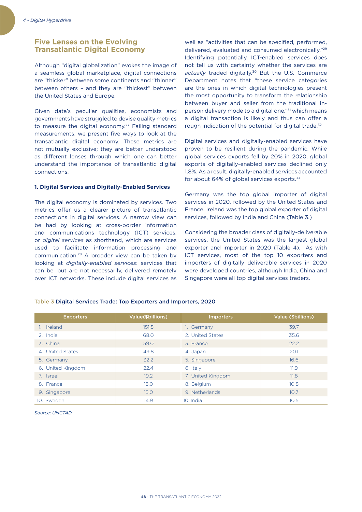## **Five Lenses on the Evolving Transatlantic Digital Economy**

Although "digital globalization" evokes the image of a seamless global marketplace, digital connections are "thicker" between some continents and "thinner" between others – and they are "thickest" between the United States and Europe.

Given data's peculiar qualities, economists and governments have struggled to devise quality metrics to measure the digital economy.<sup>27</sup> Failing standard measurements, we present five ways to look at the transatlantic digital economy. These metrics are not mutually exclusive; they are better understood as different lenses through which one can better understand the importance of transatlantic digital connections.

#### **1. Digital Services and Digitally-Enabled Services**

The digital economy is dominated by services. Two metrics offer us a clearer picture of transatlantic connections in digital services. A narrow view can be had by looking at cross-border information and communications technology (ICT) services, or *digital services* as shorthand, which are services used to facilitate information processing and communication.28 A broader view can be taken by looking at *digitally-enabled services*: services that can be, but are not necessarily, delivered remotely over ICT networks. These include digital services as

well as "activities that can be specified, performed, delivered, evaluated and consumed electronically."29 Identifying potentially ICT-enabled services does not tell us with certainty whether the services are *actually* traded digitally.30 But the U.S. Commerce Department notes that "these service categories are the ones in which digital technologies present the most opportunity to transform the relationship between buyer and seller from the traditional inperson delivery mode to a digital one,"31 which means a digital transaction is likely and thus can offer a rough indication of the potential for digital trade.<sup>32</sup>

Digital services and digitally-enabled services have proven to be resilient during the pandemic. While global services exports fell by 20% in 2020, global exports of digitally-enabled services declined only 1.8%. As a result, digitally-enabled services accounted for about 64% of global services exports.<sup>33</sup>

Germany was the top global importer of digital services in 2020, followed by the United States and France. Ireland was the top global exporter of digital services, followed by India and China (Table 3.)

Considering the broader class of digitally-deliverable services, the United States was the largest global exporter and importer in 2020 (Table 4). As with ICT services, most of the top 10 exporters and importers of digitally deliverable services in 2020 were developed countries, although India, China and Singapore were all top digital services traders.

| <b>Exporters</b>  | Value(\$billions) | <b>Importers</b>  | Value (\$billions) |
|-------------------|-------------------|-------------------|--------------------|
| 1. Ireland        | 151.5             | 1. Germany        | 39.7               |
| 2. India          | 68.0              | 2. United States  | 35.6               |
| 3. China          | 59.0              | 3. France         | 22.2               |
| 4. United States  | 49.8              | 4. Japan          | 20.1               |
| 5. Germany        | 32.2              | 5. Singapore      | 16.6               |
| 6. United Kingdom | 22.4              | 6. Italy          | 11.9               |
| 7. Israel         | 19.2              | 7. United Kingdom | 11.8               |
| 8. France         | 18.0              | 8. Belgium        | 10.8               |
| 9. Singapore      | 15.0              | 9. Netherlands    | 10.7               |
| 10. Sweden        | 14.9              | 10. India         | 10.5               |

### Table 3 Digital Services Trade: Top Exporters and Importers, 2020

*Source: UNCTAD.*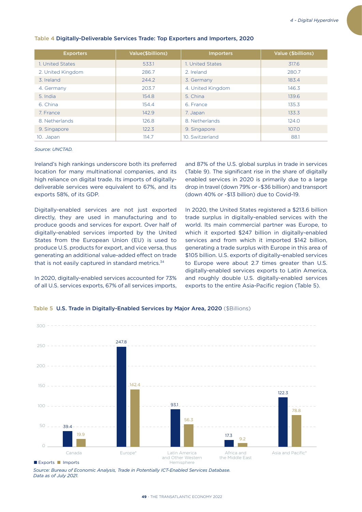| <b>Exporters</b>  | <b>Value(\$billions)</b> | <b>Importers</b>  | Value (\$billions) |
|-------------------|--------------------------|-------------------|--------------------|
| 1. United States  | 533.1                    | 1. United States  | 317.6              |
| 2. United Kingdom | 286.7                    | 2. Ireland        | 280.7              |
| 3. Ireland        | 244.2                    | 3. Germany        | 183.4              |
| 4. Germany        | 203.7                    | 4. United Kingdom | 146.3              |
| 5. India          | 154.8                    | 5. China          | 139.6              |
| 6. China          | 154.4                    | 6. France         | 135.3              |
| 7. France         | 142.9                    | 7. Japan          | 133.3              |
| 8. Netherlands    | 126.8                    | 8. Netherlands    | 124.0              |
| 9. Singapore      | 122.3                    | 9. Singapore      | 107.0              |
| 10. Japan         | 114.7                    | 10. Switzerland   | 88.1               |

### Table 4 Digitally-Deliverable Services Trade: Top Exporters and Importers, 2020

#### *Source: UNCTAD.*

Ireland's high rankings underscore both its preferred location for many multinational companies, and its high reliance on digital trade. Its imports of digitallydeliverable services were equivalent to 67%, and its exports 58%, of its GDP.

Digitally-enabled services are not just exported directly, they are used in manufacturing and to produce goods and services for export. Over half of digitally-enabled services imported by the United States from the European Union (EU) is used to produce U.S. products for export, and vice versa, thus generating an additional value-added effect on trade that is not easily captured in standard metrics.<sup>34</sup>

In 2020, digitally-enabled services accounted for 73% of all U.S. services exports, 67% of all services imports, and 87% of the U.S. global surplus in trade in services (Table 9). The significant rise in the share of digitally enabled services in 2020 is primarily due to a large drop in travel (down 79% or -\$36 billion) and transport (down 40% or -\$13 billion) due to Covid-19.

In 2020, the United States registered a \$213.6 billion trade surplus in digitally-enabled services with the world. Its main commercial partner was Europe, to which it exported \$247 billion in digitally-enabled services and from which it imported \$142 billion, generating a trade surplus with Europe in this area of \$105 billion. U.S. exports of digitally-enabled services to Europe were about 2.7 times greater than U.S. digitally-enabled services exports to Latin America, and roughly double U.S. digitally-enabled services exports to the entire Asia-Pacific region (Table 5).



#### Table 5 U.S. Trade in Digitally-Enabled Services by Major Area, 2020 (\$Billions)

*Source: Bureau of Economic Analysis, Trade in Potentially ICT-Enabled Services Database. Data as of July 2021.*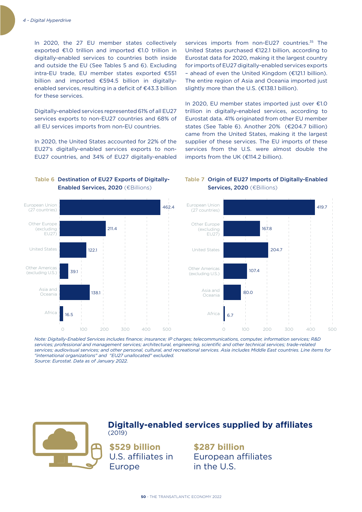In 2020, the 27 EU member states collectively exported  $E1.0$  trillion and imported  $E1.0$  trillion in digitally-enabled services to countries both inside and outside the EU (See Tables 5 and 6). Excluding intra-EU trade, EU member states exported  $£551$ billion and imported  $£594.5$  billion in digitallyenabled services, resulting in a deficit of  $E$ 43.3 billion for these services.

Digitally-enabled services represented 61% of all EU27 services exports to non-EU27 countries and 68% of all EU services imports from non-EU countries.

In 2020, the United States accounted for 22% of the EU27's digitally-enabled services exports to non-EU27 countries, and 34% of EU27 digitally-enabled services imports from non-EU27 countries.<sup>35</sup> The United States purchased €122.1 billion, according to Eurostat data for 2020, making it the largest country for imports of EU27 digitally-enabled services exports  $-$  ahead of even the United Kingdom ( $E121.1$  billion). The entire region of Asia and Oceania imported just slightly more than the U.S. (€138.1 billion).

In 2020, EU member states imported just over  $£1.0$ trillion in digitally-enabled services, according to Eurostat data. 41% originated from other EU member states (See Table 6). Another 20% (€204.7 billion) came from the United States, making it the largest supplier of these services. The EU imports of these services from the U.S. were almost double the imports from the UK (€114.2 billion).



## Table 6 Destination of EU27 Exports of Digitally-**Enabled Services, 2020** (€Billions)

## Table 7 Origin of EU27 Imports of Digitally-Enabled Services, 2020 (€Billions)

*Note: Digitally-Enabled Services includes finance; insurance; IP charges; telecommunications, computer, information services; R&D services; professional and management services; architectural, engineering, scientific and other technical services; trade-related services; audiovisual services; and other personal, cultural, and recreational services. Asia includes Middle East countries. Line items for "international organizations" and "EU27 unallocated" excluded.*

*Source: Eurostat. Data as of January 2022.*



## **Digitally-enabled services supplied by affiliates** (2019)

**\$529 billion** U.S. affiliates in Europe

**\$287 billion** European affiliates in the U.S.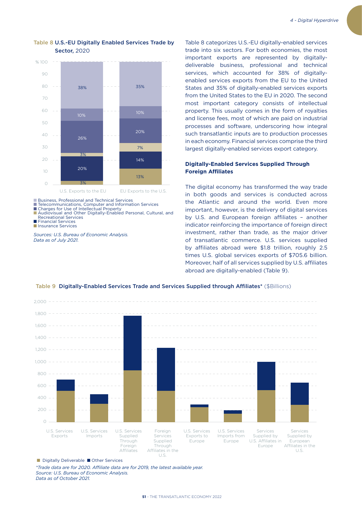

## Table 8 U.S.-EU Digitally Enabled Services Trade by Sector, 2020

■ Business, Professional and Technical Services

■ Telecommunications, Computer and Information Services<br>■ Charges for Use of Intellectual Property

■ Audiovisual and Other Digitally-Enabled Personal, Cultural, and Recreational Services

■ Financial Services

■ Insurance Services

*Sources: U.S. Bureau of Economic Analysis. Data as of July 2021.*

Table 8 categorizes U.S.-EU digitally-enabled services trade into six sectors. For both economies, the most important exports are represented by digitallydeliverable business, professional and technical services, which accounted for 38% of digitallyenabled services exports from the EU to the United States and 35% of digitally-enabled services exports from the United States to the EU in 2020. The second most important category consists of intellectual property. This usually comes in the form of royalties and license fees, most of which are paid on industrial processes and software, underscoring how integral such transatlantic inputs are to production processes in each economy. Financial services comprise the third largest digitally-enabled services export category.

## **Digitally-Enabled Services Supplied Through Foreign Affiliates**

The digital economy has transformed the way trade in both goods and services is conducted across the Atlantic and around the world. Even more important, however, is the delivery of digital services by U.S. and European foreign affiliates – another indicator reinforcing the importance of foreign direct investment, rather than trade, as the major driver of transatlantic commerce. U.S. services supplied by affiliates abroad were \$1.8 trillion, roughly 2.5 times U.S. global services exports of \$705.6 billion. Moreover, half of all services supplied by U.S. affiliates abroad are digitally-enabled (Table 9).



#### Table 9 Digitally-Enabled Services Trade and Services Supplied through Affiliates\* (\$Billions)

■ Digitally Deliverable ■ Other Services

*\*Trade data are for 2020. Affiliate data are for 2019, the latest available year. Source: U.S. Bureau of Economic Analysis. Data as of October 2021.*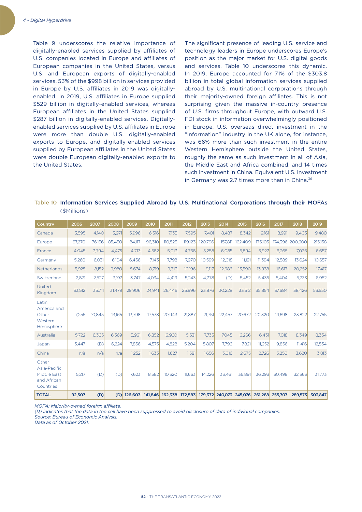Table 9 underscores the relative importance of digitally-enabled services supplied by affiliates of U.S. companies located in Europe and affiliates of European companies in the United States, versus U.S. and European exports of digitally-enabled services. 53% of the \$998 billion in services provided in Europe by U.S. affiliates in 2019 was digitallyenabled. In 2019, U.S. affiliates in Europe supplied \$529 billion in digitally-enabled services, whereas European affiliates in the United States supplied \$287 billion in digitally-enabled services. Digitallyenabled services supplied by U.S. affiliates in Europe were more than double U.S. digitally-enabled exports to Europe, and digitally-enabled services supplied by European affiliates in the United States were double European digitally-enabled exports to the United States.

The significant presence of leading U.S. service and technology leaders in Europe underscores Europe's position as the major market for U.S. digital goods and services. Table 10 underscores this dynamic. In 2019, Europe accounted for 71% of the \$303.8 billion in total global information services supplied abroad by U.S. multinational corporations through their majority-owned foreign affiliates. This is not surprising given the massive in-country presence of U.S. firms throughout Europe, with outward U.S. FDI stock in information overwhelmingly positioned in Europe. U.S. overseas direct investment in the "information" industry in the UK alone, for instance, was 66% more than such investment in the entire Western Hemisphere outside the United States, roughly the same as such investment in all of Asia, the Middle East and Africa combined, and 14 times such investment in China. Equivalent U.S. investment in Germany was 2.7 times more than in China.<sup>36</sup>

Table 10 Information Services Supplied Abroad by U.S. Multinational Corporations through their MOFAs (\$Millions)

| Country                                                                  | 2006   | 2007   | 2008   | 2009    | 2010    | 2011    | 2012    | 2013    | 2014    | 2015                                    | 2016    | 2017            | 2018            | 2019    |
|--------------------------------------------------------------------------|--------|--------|--------|---------|---------|---------|---------|---------|---------|-----------------------------------------|---------|-----------------|-----------------|---------|
| Canada                                                                   | 3,595  | 4.140  | 3,971  | 5,996   | 6,316   | 7.135   | 7.595   | 7.401   | 8.487   | 8.342                                   | 9.161   | 8.991           | 9.403           | 9,480   |
| Europe                                                                   | 67,270 | 76,156 | 85,450 | 84,117  | 96,310  | 110,525 | 119,123 | 120,796 | 157,811 | 162,409                                 | 175,105 |                 | 174,396 200,600 | 215,158 |
| France                                                                   | 4,045  | 3.794  | 4.475  | 4.713   | 4,582   | 5.013   | 4.768   | 5.258   | 6.085   | 5.894                                   | 5,927   | 6,265           | 7,036           | 6,657   |
| Germany                                                                  | 5,260  | 6,031  | 6,104  | 6.456   | 7,143   | 7,798   | 7,970   | 10,599  | 12,018  | 11,191                                  | 11,394  | 12,589          | 13,624          | 10,657  |
| Netherlands                                                              | 5,925  | 8,152  | 9,980  | 8.674   | 8.719   | 9,313   | 10.196  | 9.117   | 12,686  | 13,590                                  | 13,938  | 16,617          | 20,252          | 17,417  |
| Switzerland                                                              | 2,871  | 2,527  | 3,197  | 3.747   | 4.034   | 4.419   | 5,243   | 4,778   | (D)     | 5,452                                   | 5,435   | 5,404           | 5,733           | 6,952   |
| United<br>Kingdom                                                        | 33.512 | 35.711 | 31.479 | 29.906  | 24.941  | 26.446  | 25.996  | 23.876  | 30.228  | 33.512                                  | 35.854  | 37.684          | 38.426          | 53,550  |
| Latin<br>America and<br>Other<br>Western<br>Hemisphere                   | 7.255  | 10.845 | 13.165 | 13.798  | 17.578  | 20.943  | 21.887  | 21,751  | 22,457  | 20.672                                  | 20,320  | 21,698          | 23,822          | 22,755  |
| Australia                                                                | 5,722  | 6,365  | 6,369  | 5,961   | 6,852   | 6,960   | 5,531   | 7,735   | 7,045   | 6,266                                   | 6,431   | 7,018           | 8,349           | 8,334   |
| Japan                                                                    | 3.447  | (D)    | 6.224  | 7.856   | 4,575   | 4.828   | 5.204   | 5.807   | 7.796   | 7.821                                   | 11,252  | 9.856           | 11.416          | 12.534  |
| China                                                                    | n/a    | n/a    | n/a    | 1,252   | 1,633   | 1,627   | 1,581   | 1,656   | 3,016   | 2,675                                   | 2,726   | 3,250           | 3,620           | 3,813   |
| Other<br>Asia-Pacific.<br><b>Middle East</b><br>and African<br>Countries | 5,217  | (D)    | (D)    | 7,623   | 8,582   | 10,320  | 11,663  | 14,226  | 33,461  | 36,891                                  | 36,293  | 30,498          | 32,363          | 31,773  |
| <b>TOTAL</b>                                                             | 92,507 | (D)    | (D)    | 126,603 | 141,846 |         |         |         |         | 162,338 172,583 179,372 240,073 245,076 |         | 261,288 255,707 | 289,573         | 303,847 |

*MOFA: Majority-owned foreign affiliate.* 

*(D) indicates that the data in the cell have been suppressed to avoid disclosure of data of individual companies.* 

*Source: Bureau of Economic Analysis.* 

*Data as of October 2021.*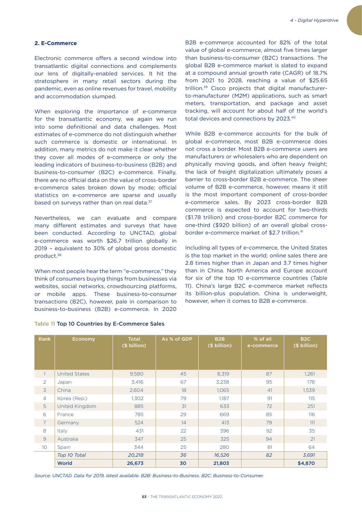## **2. E-Commerce**

Electronic commerce offers a second window into transatlantic digital connections and complements our lens of digitally-enabled services. It hit the stratosphere in many retail sectors during the pandemic, even as online revenues for travel, mobility and accommodation slumped.

When exploring the importance of e-commerce for the transatlantic economy, we again we run into some definitional and data challenges. Most estimates of e-commerce do not distinguish whether such commerce is domestic or international. In addition, many metrics do not make it clear whether they cover all modes of e-commerce or only the leading indicators of business-to-business (B2B) and business-to-consumer (B2C) e-commerce. Finally, there are no official data on the value of cross-border e-commerce sales broken down by mode; official statistics on e-commerce are sparse and usually based on surveys rather than on real data.<sup>37</sup>

Nevertheless, we can evaluate and compare many different estimates and surveys that have been conducted. According to UNCTAD, global e-commerce was worth \$26.7 trillion globally in 2019 – equivalent to 30% of global gross domestic product.38

When most people hear the term "e-commerce," they think of consumers buying things from businesses via websites, social networks, crowdsourcing platforms, or mobile apps. These business-to-consumer transactions (B2C), however, pale in comparison to business-to-business (B2B) e-commerce. In 2020

B2B e-commerce accounted for 82% of the total value of global e-commerce, almost five times larger than business-to-consumer (B2C) transactions. The global B2B e-commerce market is slated to expand at a compound annual growth rate (CAGR) of 18.7% from 2021 to 2028, reaching a value of \$25.65 trillion.39 Cisco projects that digital manufacturerto-manufacturer (M2M) applications, such as smart meters, transportation, and package and asset tracking, will account for about half of the world's total devices and connections by 2023.40

While B2B e-commerce accounts for the bulk of global e-commerce, most B2B e-commerce does not cross a border. Most B2B e-commerce users are manufacturers or wholesalers who are dependent on physically moving goods, and often heavy freight; the lack of freight digitalization ultimately poses a barrier to cross-border B2B e-commerce. The sheer volume of B2B e-commerce, however, means it still is the most important component of cross-border e-commerce sales. By 2023 cross-border B2B commerce is expected to account for two-thirds (\$1.78 trillion) and cross-border B2C commerce for one-third (\$920 billion) of an overall global crossborder e-commerce market of \$2.7 trillion.<sup>41</sup>

Including all types of e-commerce, the United States is the top market in the world; online sales there are 2.8 times higher than in Japan and 3.7 times higher than in China. North America and Europe account for six of the top 10 e-commerce countries (Table 11). China's large B2C e-commerce market reflects its billion-plus population. China is underweight, however, when it comes to B2B e-commerce.

| <b>Rank</b>    | Economy              | <b>Total</b><br>(\$ billion) | As % of GDP | B <sub>2</sub> B<br>(\$ billion) | % of all<br>e-commerce | B <sub>2C</sub><br>(\$ billion) |
|----------------|----------------------|------------------------------|-------------|----------------------------------|------------------------|---------------------------------|
| $\mathbf{1}$   | <b>United States</b> | 9,580                        | 45          | 8,319                            | 87                     | 1,261                           |
| $\overline{2}$ | Japan                | 3,416                        | 67          | 3,238                            | 95                     | 178                             |
| $\overline{3}$ | China                | 2,604                        | 18          | 1,065                            | 41                     | 1,539                           |
| $\overline{4}$ | Korea (Rep.)         | 1,302                        | 79          | 1,187                            | 91                     | 115                             |
| 5 <sup>1</sup> | United Kingdom       | 885                          | 31          | 633                              | 72                     | 251                             |
| 6              | France               | 785                          | 29          | 669                              | 85                     | 116                             |
| $\overline{7}$ | Germany              | 524                          | 14          | 413                              | 79                     | 111                             |
| 8              | Italy                | 431                          | 22          | 396                              | 92                     | 35                              |
| $\overline{9}$ | Australia            | 347                          | 25          | 325                              | 94                     | 21                              |
| 10             | Spain                | 344                          | 25          | 280                              | 81                     | 64                              |
|                | Top 10 Total         | 20,218                       | 36          | 16,526                           | 82                     | 3,691                           |
|                | World                | 26,673                       | 30          | 21,803                           |                        | \$4,870                         |

### Table 11 Top 10 Countries by E-Commerce Sales

*Source: UNCTAD. Data for 2019, latest available. B2B: Business-to-Business. B2C: Business-to-Consumer.*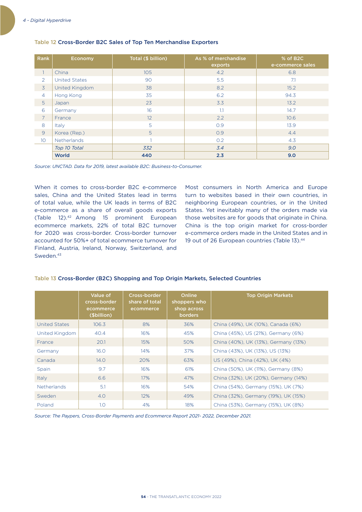| <b>Rank</b>     | Economy              | Total (\$ billion) | As % of merchandise<br>exports | % of B2C<br>e-commerce sales |
|-----------------|----------------------|--------------------|--------------------------------|------------------------------|
|                 | China                | 105                | 4.2                            | 6.8                          |
| 2               | <b>United States</b> | 90                 | 5.5                            | 7.1                          |
| $\overline{3}$  | United Kingdom       | 38                 | 8.2                            | 15.2                         |
| $\overline{4}$  | Hong Kong            | 35                 | 6.2                            | 94.3                         |
| 5               | Japan                | 23                 | 3.3                            | 13.2                         |
| 6               | Germany              | 16                 | 1.1                            | 14.7                         |
| $\overline{7}$  | France               | 12 <sup>°</sup>    | $2.2^{\circ}$                  | 10.6                         |
| 8               | Italy                | 5                  | 0.9                            | 13.9                         |
| $\overline{9}$  | Korea (Rep.)         | 5                  | O.9                            | 4.4                          |
| 10 <sup>°</sup> | Netherlands          |                    | 0.2                            | 4.3                          |
|                 | Top 10 Total         | 332                | 3.4                            | 9.0                          |
|                 | World                | 440                | 2.3                            | 9.0                          |

### Table 12 Cross-Border B2C Sales of Top Ten Merchandise Exporters

*Source: UNCTAD. Data for 2019, latest available B2C: Business-to-Consumer.*

When it comes to cross-border B2C e-commerce sales, China and the United States lead in terms of total value, while the UK leads in terms of B2C e-commerce as a share of overall goods exports (Table 12).42 Among 15 prominent European ecommerce markets, 22% of total B2C turnover for 2020 was cross-border. Cross-border turnover accounted for 50%+ of total ecommerce turnover for Finland, Austria, Ireland, Norway, Switzerland, and Sweden.<sup>43</sup>

Most consumers in North America and Europe turn to websites based in their own countries, in neighboring European countries, or in the United States. Yet inevitably many of the orders made via those websites are for goods that originate in China. China is the top origin market for cross-border e-commerce orders made in the United States and in 19 out of 26 European countries (Table 13).<sup>44</sup>

|                      | Value of<br>cross-border<br>ecommerce<br>(\$billion) | Cross-border<br>share of total<br>ecommerce | Online<br>shoppers who<br>shop across<br><b>borders</b> | <b>Top Origin Markets</b>            |
|----------------------|------------------------------------------------------|---------------------------------------------|---------------------------------------------------------|--------------------------------------|
| <b>United States</b> | 106.3                                                | 8%                                          | 36%                                                     | China (49%), UK (10%), Canada (6%)   |
| United Kingdom       | 40.4                                                 | 16%                                         | 45%                                                     | China (45%), US (21%), Germany (6%)  |
| France               | 20.1                                                 | 15%                                         | 50%                                                     | China (40%), UK (13%), Germany (13%) |
| Germany              | 16.0                                                 | 14%                                         | 37%                                                     | China (43%), UK (13%), US (13%)      |
| Canada               | 14.0                                                 | 20%                                         | 63%                                                     | US (49%), China (42%), UK (4%)       |
| Spain                | 9.7                                                  | 16%                                         | 61%                                                     | China (50%), UK (11%), Germany (8%)  |
| Italy                | 6.6                                                  | 17%                                         | 47%                                                     | China (32%), UK (20%), Germany (14%) |
| <b>Netherlands</b>   | 5.1                                                  | 16%                                         | 54%                                                     | China (54%), Germany (15%), UK (7%)  |
| Sweden               | 4.0                                                  | 12%                                         | 49%                                                     | China (32%), Germany (19%), UK (15%) |
| Poland               | 1.0                                                  | 4%                                          | 18%                                                     | China (53%), Germany (15%), UK (8%)  |

### Table 13 Cross-Border (B2C) Shopping and Top Origin Markets, Selected Countries

*Source: The Paypers, Cross-Border Payments and Ecommerce Report 2021- 2022, December 2021.*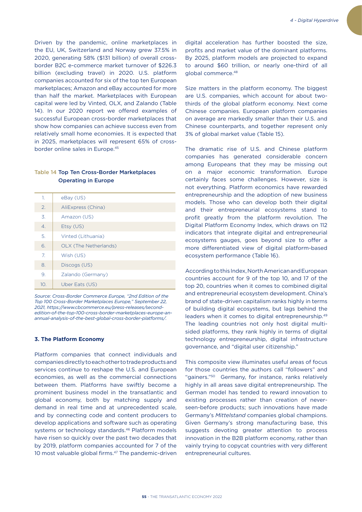Driven by the pandemic, online marketplaces in the EU, UK, Switzerland and Norway grew 37.5% in 2020, generating 58% (\$131 billion) of overall crossborder B2C e-commerce market turnover of \$226.3 billion (excluding travel) in 2020. U.S. platform companies accounted for six of the top ten European marketplaces; Amazon and eBay accounted for more than half the market. Marketplaces with European capital were led by Vinted, OLX, and Zalando (Table 14). In our 2020 report we offered examples of successful European cross-border marketplaces that show how companies can achieve success even from relatively small home economies. It is expected that in 2025, marketplaces will represent 65% of crossborder online sales in Europe.45

## Table 14 Top Ten Cross-Border Marketplaces Operating in Europe

| 1.                    | $e$ Bay $(US)$        |
|-----------------------|-----------------------|
| $\mathcal{L}$         | AliExpress (China)    |
| 3.                    | Amazon (US)           |
| $\mathcal{A}_{\cdot}$ | Etsy (US)             |
| 5.                    | Vinted (Lithuania)    |
| 6.                    | OLX (The Netherlands) |
| 7.                    | Wish (US)             |
| 8.                    | Discogs (US)          |
| 9.                    | Zalando (Germany)     |
| 10.                   | Uber Eats (US)        |

*Source: Cross-Border Commerce Europe, "2nd Edition of the Top 100 Cross-Border Marketplaces Europe," September 22, 2021, https://www.cbcommerce.eu/press-releases/secondedition-of-the-top-100-cross-border-marketplaces-europe-anannual-analysis-of-the-best-global-cross-border-platforms/.* 

#### **3. The Platform Economy**

Platform companies that connect individuals and companies directly to each other to trade products and services continue to reshape the U.S. and European economies, as well as the commercial connections between them. Platforms have swiftly become a prominent business model in the transatlantic and global economy, both by matching supply and demand in real time and at unprecedented scale, and by connecting code and content producers to develop applications and software such as operating systems or technology standards.<sup>46</sup> Platform models have risen so quickly over the past two decades that by 2019, platform companies accounted for 7 of the 10 most valuable global firms.<sup>47</sup> The pandemic-driven digital acceleration has further boosted the size, profits and market value of the dominant platforms. By 2025, platform models are projected to expand to around \$60 trillion, or nearly one-third of all global commerce.48

Size matters in the platform economy. The biggest are U.S. companies, which account for about twothirds of the global platform economy. Next come Chinese companies. European platform companies on average are markedly smaller than their U.S. and Chinese counterparts, and together represent only 3% of global market value (Table 15).

The dramatic rise of U.S. and Chinese platform companies has generated considerable concern among Europeans that they may be missing out on a major economic transformation. Europe certainly faces some challenges. However, size is not everything. Platform economics have rewarded entrepreneurship and the adoption of new business models. Those who can develop both their digital and their entrepreneurial ecosystems stand to profit greatly from the platform revolution. The Digital Platform Economy Index, which draws on 112 indicators that integrate digital and entrepreneurial ecosystems gauges, goes beyond size to offer a more differentiated view of digital platform-based ecosystem performance (Table 16).

According to this Index, North American and European countries account for 9 of the top 10, and 17 of the top 20, countries when it comes to combined digital and entrepreneurial ecosystem development. China's brand of state-driven capitalism ranks highly in terms of building digital ecosystems, but lags behind the leaders when it comes to digital entrepreneurship.<sup>49</sup> The leading countries not only host digital multisided platforms, they rank highly in terms of digital technology entrepreneurship, digital infrastructure governance, and "digital user citizenship."

This composite view illuminates useful areas of focus for those countries the authors call "followers" and "gainers."50 Germany, for instance, ranks relatively highly in all areas save digital entrepreneurship. The German model has tended to reward innovation to existing processes rather than creation of neverseen-before products; such innovations have made Germany's *Mittelstand* companies global champions. Given Germany's strong manufacturing base, this suggests devoting greater attention to process innovation in the B2B platform economy, rather than vainly trying to copycat countries with very different entrepreneurial cultures.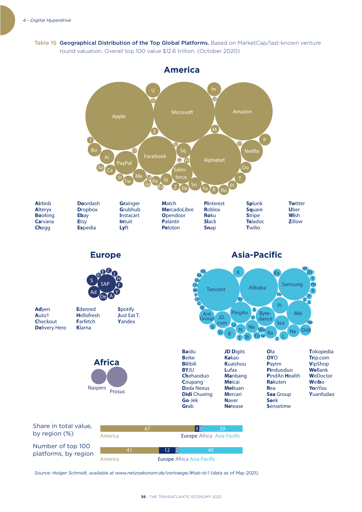Table 15 Geographical Distribution of the Top Global Platforms. Based on MarketCap/last-known venture round valuation. Overall top 100 value \$12.6 trillion. (October 2020)



America Europe Africa Asia-Pacific

*Source: Holger Schmidt, available at www.netzoekonom.de/vortraege/#tab-id-1 (data as of May 2021).*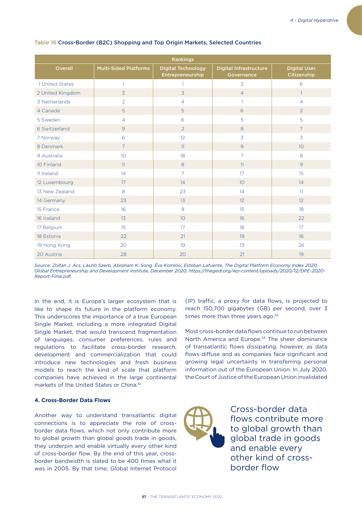| <b>Rankings</b>  |                              |                                               |                                             |                                    |  |  |
|------------------|------------------------------|-----------------------------------------------|---------------------------------------------|------------------------------------|--|--|
| Overall          | <b>Multi-Sided Platforms</b> | <b>Digital Technology</b><br>Entrepreneurship | <b>Digital Infrastructure</b><br>Governance | <b>Digital User</b><br>Citizenship |  |  |
| 1 United States  | 1                            |                                               | $\overline{2}$                              | 6                                  |  |  |
| 2 United Kingdom | $\overline{3}$               | $\overline{3}$                                | $\overline{4}$                              | $\mathbf{1}$                       |  |  |
| 3 Netherlands    | $\overline{2}$               | $\overline{4}$                                |                                             | $\overline{4}$                     |  |  |
| 4 Canada         | 5                            | 5                                             | 6                                           | 2                                  |  |  |
| 5 Sweden         | $\overline{4}$               | 6                                             | 5                                           | 5                                  |  |  |
| 6 Switzerland    | 9                            | 2                                             | 8                                           | $\overline{7}$                     |  |  |
| 7 Norway         | 6                            | 12                                            | 3                                           | $\overline{3}$                     |  |  |
| 8 Denmark        | $\overline{7}$               | 11                                            | $\overline{9}$                              | 10 <sup>°</sup>                    |  |  |
| 9 Australia      | 10 <sup>°</sup>              | 18                                            | $\overline{7}$                              | 8                                  |  |  |
| 10 Finland       | 11                           | 8                                             | 11                                          | 9                                  |  |  |
| 11 Ireland       | 14                           | $\overline{7}$                                | 17                                          | 15                                 |  |  |
| 12 Luxembourg    | 17                           | 14                                            | 10                                          | 14                                 |  |  |
| 13 New Zealand   | 8                            | 23                                            | 14                                          | 11                                 |  |  |
| 14 Germany       | 23                           | 13                                            | 12                                          | 12                                 |  |  |
| 15 France        | 16                           | $\overline{9}$                                | 15                                          | 18                                 |  |  |
| 16 Iceland       | 13                           | 10 <sup>°</sup>                               | 16                                          | 22                                 |  |  |
| 17 Belgium       | 15                           | 17                                            | 18                                          | 17                                 |  |  |
| 18 Estonia       | 22                           | 21                                            | 19                                          | 16                                 |  |  |
| 19 Hong Kong     | 20                           | 19                                            | 13                                          | 26                                 |  |  |
| 20 Austria       | 28                           | 20                                            | 21                                          | 19                                 |  |  |

### Table 16 Cross-Border (B2C) Shopping and Top Origin Markets, Selected Countries

*Source: Zoltan J. Acs, László Szerb, Abraham K. Song, Éva Komlósi, Esteban Lafuente, The Digital Platform Economy Index 2020, Global Entrepreneurship and Development Institute, December 2020, https://thegedi.org/wp-content/uploads/2020/12/DPE-2020- Report-Final.pdf.* 

In the end, it is Europe's larger ecosystem that is like to shape its future in the platform economy. This underscores the importance of a true European Single Market, including a more integrated Digital Single Market, that would transcend fragmentation of languages, consumer preferences, rules and regulations to facilitate cross-border research, development and commercialization that could introduce new technologies and fresh business models to reach the kind of scale that platform companies have achieved in the large continental markets of the United States or China.51

### **4. Cross-Border Data Flows**

Another way to understand transatlantic digital connections is to appreciate the role of crossborder data flows, which not only contribute more to global growth than global goods trade in goods, they underpin and enable virtually every other kind of cross-border flow. By the end of this year, crossborder bandwidth is slated to be 400 times what it was in 2005. By that time, Global Internet Protocol (IP) traffic, a proxy for data flows, is projected to reach 150,700 gigabytes (GB) per second, over 3 times more than three years ago.<sup>52</sup>

Most cross-border data flows continue to run between North America and Europe.<sup>53</sup> The sheer dominance of transatlantic flows dissipating, however, as data flows diffuse and as companies face significant and growing legal uncertainty in transferring personal information out of the European Union. In July 2020, the Court of Justice of the European Union invalidated



Cross-border data flows contribute more to global growth than global trade in goods and enable every other kind of crossborder flow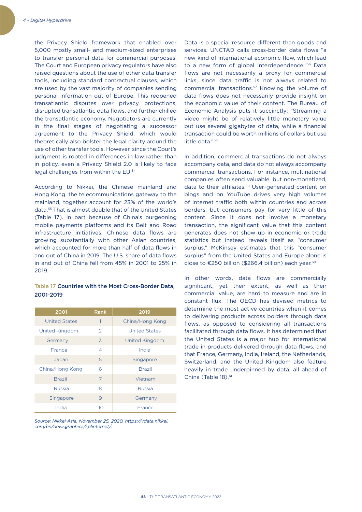the Privacy Shield framework that enabled over 5,000 mostly small- and medium-sized enterprises to transfer personal data for commercial purposes. The Court and European privacy regulators have also raised questions about the use of other data transfer tools, including standard contractual clauses, which are used by the vast majority of companies sending personal information out of Europe. This reopened transatlantic disputes over privacy protections, disrupted transatlantic data flows, and further chilled the transatlantic economy. Negotiators are currently in the final stages of negotiating a successor agreement to the Privacy Shield, which would theoretically also bolster the legal clarity around the use of other transfer tools. However, since the Court's judgment is rooted in differences in law rather than in policy, even a Privacy Shield 2.0 is likely to face legal challenges from within the EU.<sup>54</sup>

According to Nikkei, the Chinese mainland and Hong Kong, the telecommunications gateway to the mainland, together account for 23% of the world's data.55 That is almost double that of the United States (Table 17). In part because of China's burgeoning mobile payments platforms and its Belt and Road infrastructure initiatives, Chinese data flows are growing substantially with other Asian countries, which accounted for more than half of data flows in and out of China in 2019. The U.S. share of data flows in and out of China fell from 45% in 2001 to 25% in 2019.

## Table 17 Countries with the Most Cross-Border Data, 2001-2019

| 2001                 | <b>Rank</b>   | 2019                  |
|----------------------|---------------|-----------------------|
| <b>United States</b> | 1             | China/Hong Kong       |
| United Kingdom       | $\mathcal{P}$ | <b>United States</b>  |
| Germany              | 3             | <b>United Kingdom</b> |
| France               | 4             | India                 |
| Japan                | 5             | Singapore             |
| China/Hong Kong      | 6             | <b>Brazil</b>         |
| <b>Brazil</b>        | 7             | Vietnam               |
| Russia               | 8             | Russia                |
| Singapore            | 9             | Germany               |
| India                | 10            | France                |

*Source: Nikkei Asia, November 25, 2020, https://vdata.nikkei. com/en/newsgraphics/splinternet/.* 

Data is a special resource different than goods and services. UNCTAD calls cross-border data flows "a new kind of international economic flow, which lead to a new form of global interdependence."56 Data flows are not necessarily a proxy for commercial links, since data traffic is not always related to commercial transactions.57 Knowing the volume of data flows does not necessarily provide insight on the economic value of their content. The Bureau of Economic Analysis puts it succinctly: "Streaming a video might be of relatively little monetary value but use several gigabytes of data, while a financial transaction could be worth millions of dollars but use little data."58

In addition, commercial transactions do not always accompany data, and data do not always accompany commercial transactions. For instance, multinational companies often send valuable, but non-monetized, data to their affiliates.59 User-generated content on blogs and on YouTube drives very high volumes of internet traffic both within countries and across borders, but consumers pay for very little of this content. Since it does not involve a monetary transaction, the significant value that this content generates does not show up in economic or trade statistics but instead reveals itself as "consumer surplus." McKinsey estimates that this "consumer surplus" from the United States and Europe alone is close to €250 billion (\$266.4 billion) each year.<sup>60</sup>

In other words, data flows are commercially significant, yet their extent, as well as their commercial value, are hard to measure and are in constant flux. The OECD has devised metrics to determine the most active countries when it comes to delivering products across borders through data flows, as opposed to considering all transactions facilitated through data flows. It has determined that the United States is a major hub for international trade in products delivered through data flows, and that France, Germany, India, Ireland, the Netherlands, Switzerland, and the United Kingdom also feature heavily in trade underpinned by data, all ahead of China (Table 18).<sup>61</sup>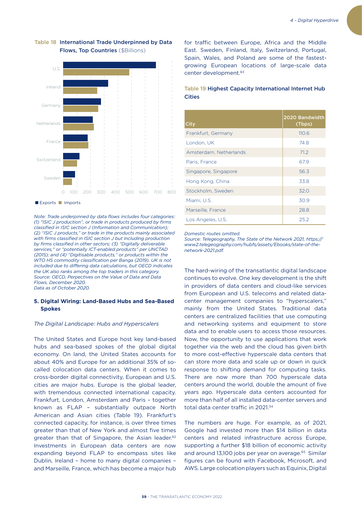

## Table 18 International Trade Underpinned by Data Flows, Top Countries (\$Billions)

■ Exports ■ Imports

*Note: Trade underpinned by data flows includes four categories: (1) "ISIC J production", or trade in products produced by firms classified in ISIC section J (Information and Communication); (2) "ISIC J products," or trade in the products mainly associated with firms classified in ISIC section J but including production by firms classified in other sectors; (3) "Digitally deliverable services," or "potentially ICT-enabled products" per UNCTAD (2015); and (4) "Digitisable products," or products within the WTO HS commodity classification per Banga (2019). UK is not included due to differing data calculations, but OECD indicates the UK also ranks among the top traders in this category. Source: OECD, Perpectives on the Value of Data and Data Flows, December 2020. Data as of October 2020.*

### **5. Digital Wiring: Land-Based Hubs and Sea-Based Spokes**

#### *The Digital Landscape: Hubs and Hyperscalers*

The United States and Europe host key land-based hubs and sea-based spokes of the global digital economy. On land, the United States accounts for about 40% and Europe for an additional 35% of socalled colocation data centers. When it comes to cross-border digital connectivity, European and U.S. cities are major hubs. Europe is the global leader, with tremendous connected international capacity. Frankfurt, London, Amsterdam and Paris – together known as FLAP – substantially outpace North American and Asian cities (Table 19). Frankfurt's connected capacity, for instance, is over three times greater than that of New York and almost five times greater than that of Singapore, the Asian leader.<sup>62</sup> Investments in European data centers are now expanding beyond FLAP to encompass sites like Dublin, Ireland – home to many digital companies – and Marseille, France, which has become a major hub

for traffic between Europe, Africa and the Middle East. Sweden, Finland, Italy, Switzerland, Portugal, Spain, Wales, and Poland are some of the fastestgrowing European locations of large-scale data center development.63

## Table 19 Highest Capacity International Internet Hub Cities

| City                   | 2020 Bandwidth<br>(Tbps) |
|------------------------|--------------------------|
| Frankfurt, Germany     | 110.6                    |
| London, UK             | 74.8                     |
| Amsterdam, Netherlands | 71.2                     |
| Paris, France          | 67.9                     |
| Singapore, Singapore   | 56.3                     |
| Hong Kong, China       | 33.8                     |
| Stockholm, Sweden      | 32.0                     |
| Miami, U.S.            | 30.9                     |
| Marseille, France      | 28.8                     |
| Los Angeles, U.S.      | 25.2                     |

*Domestic routes omitted.* 

*Source: Telegeography, The State of the Network 2021, https:// www2.telegeography.com/hubfs/assets/Ebooks/state-of-thenetwork-2021.pdf.*

The hard-wiring of the transatlantic digital landscape continues to evolve. One key development is the shift in providers of data centers and cloud-like services from European and U.S. telecoms and related datacenter management companies to "hyperscalers," mainly from the United States. Traditional data centers are centralized facilities that use computing and networking systems and equipment to store data and to enable users to access those resources. Now, the opportunity to use applications that work together via the web and the cloud has given birth to more cost-effective hyperscale data centers that can store more data and scale up or down in quick response to shifting demand for computing tasks. There are now more than 700 hyperscale data centers around the world, double the amount of five years ago. Hyperscale data centers accounted for more than half of all installed data-center servers and total data center traffic in 2021.34

The numbers are huge. For example, as of 2021, Google had invested more than \$14 billion in data centers and related infrastructure across Europe, supporting a further \$18 billion of economic activity and around 13,100 jobs per year on average.<sup>65</sup> Similar figures can be found with Facebook, Microsoft, and AWS. Large colocation players such as Equinix, Digital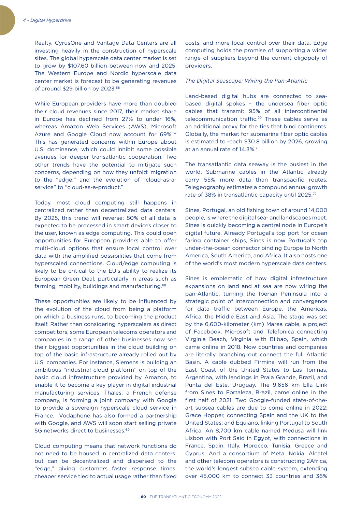Realty, CyrusOne and Vantage Data Centers are all investing heavily in the construction of hyperscale sites. The global hyperscale data center market is set to grow by \$107.60 billion between now and 2025. The Western Europe and Nordic hyperscale data center market is forecast to be generating revenues of around \$29 billion by 2023.66

While European providers have more than doubled their cloud revenues since 2017, their market share in Europe has declined from 27% to under 16%, whereas Amazon Web Services (AWS), Microsoft Azure and Google Cloud now account for 69%.<sup>67</sup> This has generated concerns within Europe about U.S. dominance, which could inhibit some possible avenues for deeper transatlantic cooperation. Two other trends have the potential to mitigate such concerns, depending on how they unfold: migration to the "edge;" and the evolution of "cloud-as-aservice" to "cloud-as-a-product."

Today, most cloud computing still happens in centralized rather than decentralized data centers. By 2025, this trend will reverse: 80% of all data is expected to be processed in smart devices closer to the user, known as edge computing. This could open opportunities for European providers able to offer multi-cloud options that ensure local control over data with the amplified possibilities that come from hyperscaled connections. Cloud/edge computing is likely to be critical to the EU's ability to realize its European Green Deal, particularly in areas such as farming, mobility, buildings and manufacturing.68

These opportunities are likely to be influenced by the evolution of the cloud from being a platform on which a business runs, to becoming the product itself. Rather than considering hyperscalers as direct competitors, some European telecoms operators and companies in a range of other businesses now see their biggest opportunities in the cloud building on top of the basic infrastructure already rolled out by U.S. companies. For instance, Siemens is building an ambitious "industrial cloud platform" on top of the basic cloud infrastructure provided by Amazon, to enable it to become a key player in digital industrial manufacturing services. Thales, a French defense company, is forming a joint company with Google to provide a sovereign hyperscale cloud service in France. Vodaphone has also formed a partnership with Google, and AWS will soon start selling private 5G networks direct to businesses.69

Cloud computing means that network functions do not need to be housed in centralized data centers, but can be decentralized and dispersed to the "edge," giving customers faster response times, cheaper service tied to actual usage rather than fixed costs, and more local control over their data. Edge computing holds the promise of supporting a wider range of suppliers beyond the current oligopoly of providers.

### *The Digital Seascape: Wiring the Pan-Atlantic*

Land-based digital hubs are connected to seabased digital spokes – the undersea fiber optic cables that transmit 95% of all intercontinental telecommunication traffic.70 These cables serve as an additional proxy for the ties that bind continents. Globally, the market for submarine fiber optic cables is estimated to reach \$30.8 billion by 2026, growing at an annual rate of 14.3%.<sup>71</sup>

The transatlantic data seaway is the busiest in the world. Submarine cables in the Atlantic already carry 55% more data than transpacific routes. Telegeography estimates a compound annual growth rate of 38% in transatlantic capacity until 2025.72

Sines, Portugal, an old fishing town of around 14,000 people, is where the digital sea- and landscapes meet. Sines is quickly becoming a central node in Europe's digital future. Already Portugal's top port for ocean faring container ships, Sines is now Portugal's top under-the-ocean connector binding Europe to North America, South America, and Africa. It also hosts one of the world's most modern hyperscale data centers.

Sines is emblematic of how digital infrastructure expansions on land and at sea are now wiring the pan-Atlantic, turning the Iberian Peninsula into a strategic point of interconnection and convergence for data traffic between Europe, the Americas, Africa, the Middle East and Asia. The stage was set by the 6,600-kilometer (km) Marea cable, a project of Facebook, Microsoft and Telefonica connecting Virginia Beach, Virginia with Bilbao, Spain, which came online in 2018. Now countries and companies are literally branching out connect the full Atlantic Basin. A cable dubbed Firmina will run from the East Coast of the United States to Las Toninas, Argentina, with landings in Praia Grande, Brazil, and Punta del Este, Uruguay. The 9,656 km Ella Link from Sines to Fortaleza, Brazil, came online in the first half of 2021. Two Google-funded state-of-theart subsea cables are due to come online in 2022: Grace Hopper, connecting Spain and the UK to the United States; and Equiano, linking Portugal to South Africa. An 8,700 km cable named Medusa will link Lisbon with Port Said in Egypt, with connections in France, Spain, Italy, Morocco, Tunisia, Greece and Cyprus. And a consortium of Meta, Nokia, Alcatel and other telecom operators is constructing 2Africa, the world's longest subsea cable system, extending over 45,000 km to connect 33 countries and 36%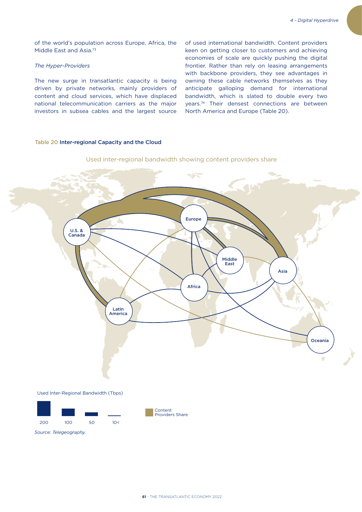of used international bandwidth. Content providers keen on getting closer to customers and achieving economies of scale are quickly pushing the digital frontier. Rather than rely on leasing arrangements with backbone providers, they see advantages in owning these cable networks themselves as they anticipate galloping demand for international bandwidth, which is slated to double every two years.74 Their densest connections are between

North America and Europe (Table 20).

of the world's population across Europe, Africa, the Middle East and Asia.<sup>73</sup>

### *The Hyper-Providers*

The new surge in transatlantic capacity is being driven by private networks, mainly providers of content and cloud services, which have displaced national telecommunication carriers as the major investors in subsea cables and the largest source

### Table 20 Inter-regional Capacity and the Cloud



Used inter-regional bandwidth showing content providers share



*Source: Telegeography.*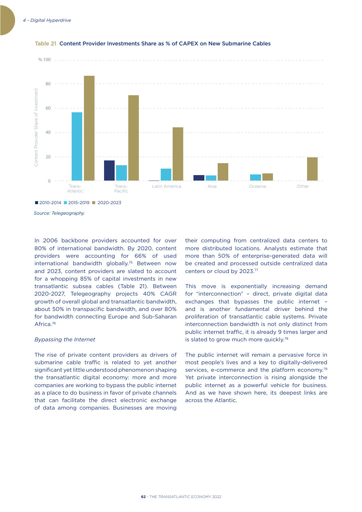

### Table 21 Content Provider Investments Share as % of CAPEX on New Submarine Cables

*Source: Telegeography.* 

In 2006 backbone providers accounted for over 80% of international bandwidth. By 2020, content providers were accounting for 66% of used international bandwidth globally.75 Between now and 2023, content providers are slated to account for a whopping 85% of capital investments in new transatlantic subsea cables (Table 21). Between 2020-2027, Telegeography projects 40% CAGR growth of overall global and transatlantic bandwidth, about 50% in transpacific bandwidth, and over 80% for bandwidth connecting Europe and Sub-Saharan Africa.76

#### *Bypassing the Internet*

The rise of private content providers as drivers of submarine cable traffic is related to yet another significant yet little understood phenomenon shaping the transatlantic digital economy: more and more companies are working to bypass the public internet as a place to do business in favor of private channels that can facilitate the direct electronic exchange of data among companies. Businesses are moving

their computing from centralized data centers to more distributed locations. Analysts estimate that more than 50% of enterprise-generated data will be created and processed outside centralized data centers or cloud by 2023.77

This move is exponentially increasing demand for "interconnection" – direct, private digital data exchanges that bypasses the public internet – and is another fundamental driver behind the proliferation of transatlantic cable systems. Private interconnection bandwidth is not only distinct from public internet traffic, it is already 9 times larger and is slated to grow much more quickly.<sup>78</sup>

The public internet will remain a pervasive force in most people's lives and a key to digitally-delivered services, e-commerce and the platform economy.<sup>79</sup> Yet private interconnection is rising alongside the public internet as a powerful vehicle for business. And as we have shown here, its deepest links are across the Atlantic.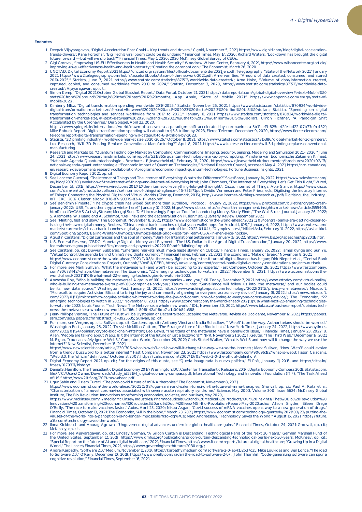#### Endnotes

- 1. Deepak Vijayaragavan, "Digital Acceleration Post Covid Key trends and drivers," Cigniti, November 5, 2021, https://www.cigniti.com/blog/digital-acceleration-<br>trends-drivers/; Rana Foroohar, "Big Techs viral boom could
	-
- 3 UNCTAD, *Digital Economy Report 2021*, https://unctad.org/system/files/official-document/der2021\_en.pdf; Telegeography, "State of the Network 2021," January 2021, https://www2.telegeography.com/hubfs/assets/Ebooks/state-of-the-network-2021.pdf; Arne von See, "Amount of data created, consumed, and stored<br>2010-2025," Statista, June 7, 2021, https://www.statista.com/statistics/87 captured, copied, and consumed worldwide from 2010 to 2024," Statista, December 3, 2020, https://www.statista.com/statistics/871513/worldwide-datacreated/; Vijayaragavan, op. cit.; 4 Simon Kemp, "Digital 2021 October Global Statshot Report," Data Portal, October 21, 2021, https://datareportal.com/global-digital-overview#:~:text=Mobile%20
	- stats%20from%20around%20the,in%20the%20past%2012%20months; App Annie, "State of Mobile 2021," https://www.appannie.com/en/go/state-ofmobile-2021/.
- 5 Kimberly Mlitz, "Digital transformation spending worldwide 2017-2025," Statista, November 26, 2021, https://www.statista.com/statistics/870924/worldwide-<br>digital-transformation-market-size/#:-:text=Between%202020%20and%2
- Accelerated by the Coronavirus," *Der Spiegel,* April 23, 2020,<br>https://www.spiegel.de/international/world/dawn-of-a-new-era-a-paradigm-shift-accelerated-by-coronavirus-a-5b12ce13-625c-42fe-bd22-07b77c0c4321;<br>Mike Robuck R
- telecom/report-digital-transformation-spending-will-catapult-to-6-8-trillion-by-2023,<br>6 Statista, \*3D printing industry worldwide market size 2020-2026,\* October 8, 2021, https://www.statista.com/statistics/315386/global
- manufacturing.<br>7 Research and Markets Itd, "Quantum Technology Market by Computing, Communications, Imaging, Security, Sensing, Modeling and Simulation 2021 2026," June<br>24, 2021, https://www.researchandmarkets.com/report
- 8 Digital Economy Report 2021, op. cit.<br>9 See Lahcene Guerrouj, "The Internet of Everything: What's the Difference?" SalesForce, January 14, 2022, https://www.salesforce.com/<br>9 See Lahcene Guerrouj, "The Internet of Things
- IoT\_IERC\_2016\_Cluster\_eBook\_978-87- 93379-82-4\_P\_Web.pdf. 10 See Benjamin Pimentel, "The crypto crash has wiped out more than \$1 trillion," Protocol, January 21, 2022, https://www.protocol.com/bulletins/crypto-crash-
- january-2022; UBS, "Is another crypto winter here?" January 10, 2022, https://www.ubs.com/us/en/wealth-management/insights/market-news/article.1555405.<br>html?caasID=CAAS-ActivityStream; Mengej Sun, "DeFi Increasingly Popula
	-
- 13 U.S. Federal Reserve, "CBDC: Monetary/Digital Money and Payments: The U.S. Dollar in the Age of Digital Transformation," January 20, 2022, https://www.<br>federalreserve.gov/publications/files/money-and-payments-20220120
- https://www.economist.com/the-world-ahead/2021/11/08/a-three-way-fight-to-shape-the-future-of-digital-finance-has-begun; Dirk Niepelt et al., "Central Bank<br>Digital Currency: Considerations, Projects, Outlook," VoxEU/CEPR,
- world-ahead/2021/11/08/what-next-22-emerging-technologies-to-watch-in-2022.<br>16 Anwesha Roy, "Who is building the metaverse? A group of 160+ companies and you," XR Today, December 7, 2021, https://www.xrtoday.com/virtualwho-is-building-the-metaverse-a-group-of-160-companies-and-you/; Tatum Hunter, "Surveillance will follow us into 'the metaverse,' and our bodies could<br>be its new data source," *Washington Post,* January 13, 2022, https://w "Microsoft to acquire Activision Blizzard to bring the joy and community of gaming to everyone, across every device," January 18, 2022, https://news.microsoft.<br>com/2022/01/18/microsoft-to-acquire-activision-blizzard-to-bri
	-
- news-the-metaverse-a-whole-new-world-7aff66c4-808f-42af-8db7-alb00b84a388;<br>17 Jean-Philippe Vergne, "The Future of Trust will be Dystopian or Decentralized: Escaping the Metaverse. *Revista de Occidente*, November 12, 2021 Allen, "People are talking about Web3. Is it the Internet of the future or just a buzzword?" NPR, November 21, 2021; J. Geuter, "The Third Web," December 17, 2021;<br>M. Elgan, "You can safely ignore Web3," *Computer World*,

https://www.newscientist.com/article/2301706-what-is-web3-and-how-will-it-change-the-way-we-use-the-internet/; Mark Sullivan, "How 'Web3' could evolve<br>from a trendy buzzword to a better internet," *Fast Company,* November

- 19 *Digital Economy Report* 2021, op. cit.; For the origins of this quote, see "Queda inaugurada la nueva política," *El País,* January 11, 2016, and https://citas.in/<br>frases/1079317/history/.<br>20 Daniel S. Hamilton, *The T*
- file:///C:/Users/Owner/Downloads/study\_id52194\_digital-economy-compass.pdf; International Technology and Innovation Foundation (ITIF), "The Task Ahead<br>of US;" http://www.2.itif.org/2019-task-ahead.pdf.<br>21 Ugur Sahin and Oz
	-

https://www.economist.com/the-world-ahead/2021/11/08/ugur-sahin-and-ozlem-tureci-on-the-future-of-mrna-therapies; Gronvall, op. cit; Paul A. Rota et al.,<br>\*Characterization of a novel coronavirus associated with severe acut

- Innovations%20transforming%20economies%20societies%20and%20our%20lives/MGI-Bio-Revolution-Report-May-2020.ashx; Alison Snyder, Eileen Drage<br>O'Reilly, \*The race to make vaccines faster," Axios, April 23, 2020; Nikou Asgari, *Financial Times*, October 13, 2021; *The Economist*, "All in the blood," March 23, 2021, https://www.economist.com/technology-quarterly/2021/03/23/putting-the-<br>viruses-of-the-world-into-a-panopticon-is-no-longer-impossibl a16z.com/technology-saves-the-world/.
- 22 Ilona Kickbusch and Anurag Agrawal, "Ungoverned digital advances undermine global healthcare gains," *Financial Times*, October 24, 2021; Gronvall, op. cit.; McKinsey, op. cit. 23 For more, see Vijayaragavan, op. cit.; Lindsay Gorman, "A Silicon Curtain is Descending: Technological Perils of the Next 30 Years," German Marshall Fund of
	- the United States, September 12, 2019, https://www.gmfus.org/publications/silicon-curtain-descending-technological-perils-next-30-years; McKinsey, op. cit.:<br>"Special Report on the future of Al and digital healthcare," 2021
- 24 Andrej Karpathy, "Software 2.0," Medium, November 11, 2017, https://karpathy.medium.com/software-2-0-a64152b37c35: Mike Loukides and Ben Lorica, "The road<br>to Software 2.0," O'Reilly, December 10, 2019, https://www.oreil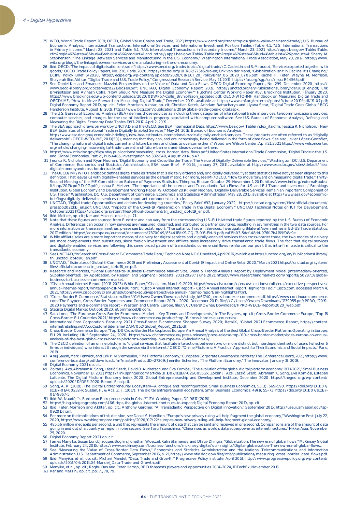- 25 WTO, *World Trade Report 2019*; OECD, *Global Value Chains and Trade*, 2021, https://www.oecd.org/trade/topics/global-value-chainsand-trade/; U.S. Bureau of Economic Analysis, International Transactions, International Services, and International Investment Position Tables (Table 4.1., "U.S. International Transactions<br>in Primary Income," March 23, 2021, and Table 5.1., "U.S. In cfm?reqid=62&step=6&isuri=1&tablelist=56&product=1 and https://apps.bea.gov/iTable/iTable.cfm?reqid=62&step=6&isuri=1&tablelist=62&product=1; Sherry M.<br>Stephenson, \*The Linkage Between Services and Manufacturing in the U.S
- wita.org/blogs/the-linkagebetween-services-and-manufacturing-in-the-u-s-economy.<br>26 Ibid; OECD, "The impact of digitalisation on trade," https://www.oecd.org/trade/topics/digital-trade/; C. Cadestin and S. Miroudot, "Ser goods," OECD Trade Policy Papers, No. 236, Paris, 2020, https://dx.doi.org/10.1787/275e520a-en; Erik van der Marel, "Globalization Isn't in Decline: It's Changing,"<br>ECIPE Policy Brief 6/2020, https://ecipe.org/wp-content/u
	- www.oecd-lilbrary.org/docserver/a2216bc1-en.pdf; UNCTAD, *Digital Economy Report* 2019, https://unctad.org/en/PublicationsLibrary/der2019\_en.pdf; Erik<br>Brynjolfsson and Avinash Collis, "How Should We Measure the Digital Eco https://www.brookings.edu/wp-content/uploads/2020/01/WP57-Collis\_Brynjolfsson\_updated.pdf; *OECD-WTO-IMF Handbook on Measuring Digital Trade* and<br>OECD/IMF, \*How to Move Forward on Measuring Digital Trade,\* December 2019, a *Digital Economy Report 2019*, op. cit.; Fefer, Morrison, Akhtar, op. cit; Christian Ketels, Arindam Battacharya and Liyana Satar, "Digital Trade Goes Global," BCG<br>Henderson Institute, August 12, 2019, https://www.bcg.com/
- 28 The U.S. Bureau of Economic Analysis (BEA) defines those services as including three categories of international trade in services: telecommunications services,<br>computer services, and charges for the use of intellectual
- BEA Estimates of International Trade in Digitally Enabled Services," May 24, 2016, Bureau of Economic Analysis,<br>http://www.esa.doc.gov/economic-briefings/new-bea-estimates-international-trade-digitally-enabled-services. Th
- .org/article/changing-nature-digital-trade-current-and-future-barriers-and-ideas-overcome-them.<br>30 https://www.ntia.doc.gov/files/ntia/publications/measuring\_cross\_border\_data\_flows.pdf; United States International Trade C
- and Global Economies, Part 2″, Pub.4485, Investigation No.332-540, August 2014, p.47.<br>19- Jessica R. Nicholson and Ryan Noonan, \*Digital Economy and Cross-Border Trade: The Value of Digitally-Deliverable Services," Washing digitaleconomyandcross-bordertrade.pdf.
- 32 The OECD/IMF/WTO Handbook defines digitall trade as "trade that is digitally ordered and/or digitally delivered," yet data statistics have not yet been aligned to this definition. That leaves us with digitally enabled s
- briefings/digitally-deliverable-services-remain-important-component-us-trade.<br>33 UNCTAD, "Digital trade: Opportunities and actions for developing countries," Policy Brief #92, January 2022, https://unctad.org/system/files/ presspb2021d10\_en.pdf; UNCTAD, "Impacts of the Covid-19 Pandemic on Trade in the Digital Economy," UNCTAD Technical Notes on ICT for Development,<br>October 2021, https://unctad.org/system/files/official-document/tn\_unctad\_ic
	-
	- 35 Note that these figures are sourced from Eurostat and can vary from the corresponding U.S.-EU bilateral trade figures reported by the U.S. Bureau of Economic Analysis. Differences can occur in how services are measured, classified, and attributed to partner countries, resulting in asymmetries in the two data sources. For<br>more information on these asymmetries, please see Eurosta
- 2017 edition," https://ec.europa.eu/eurostat/documents/7870049/8544118/KS-GQ-17-016-EN-N.pdf/eaf15b03-5dcf-48dd-976f-7b4169f08a9e.<br>36 While affiliate sales are a more important means of delivery for digital services and di and digitally-enabled services are following this same broad pattern of transatlantic commercial flows reinforces our point that intra-firm trade is critical to the transatlantic economy.
	- 37 See UNCTAD, ''In Search of Cross-Border E-Commerce Trade Data,'' Technical Note NO 6 Unedited, April 2016, available at http://unctad.org/en/PublicationsLibrary/
- tn\_unctad\_ict4d06\_en.pdf.<br>38 UNCTAD, \* Estimates of Global E-Commerce 2019 and Preliminary Assessment of Covid-19 Impact and Online Retail 2020,\* March 2021, https://unctad.org/system/<br>files/official-document/tn\_unctad\_i
	- 39 Research and Markets, "Global Business-to-Business E-commerce Market Size, Share & Trends Analysis Report by Deployment Model (Intermediary-oriented, Supplier-oriented), by Application, by Region, and Segment Forecasts, 2021-2028," June 2021, https://www.researchandmarkets.com/reports/5028717/global-business-to-business-e-commerce-market.
- /Cisco Annual Internet Report (2018-2023) White Paper," Cisco.com, March 9, 2020, https://www.cisco.com/c/en/us/solutions/collateral/executive-perspectives ("annual-internet" cisco.com, March 9, 2020, https://www.cisco.c
- 10 Cross-BorderE-Commerce,"Statista.com,file:///C:/Users/Owner/Downloads/study\_id61740\_cross-border-e-commerce.pdf. https://www.continuumcommerce. هو com; The Paypers, Cross-Border Payments and Commerce Reface 12019-<br>Com;
- 42 Statista Digital Market Outlook 2020, eCommerceDB.com.<br>43 Sara Lone. "The European Cross-Border Ecommerce Mark 43 Sara Lone, "The European Cross-Border Ecommerce Market – Key Trends and Developments," in The Paypers, op. cit.; Cross-Border Commerce Europe, "Top 16<br>. Cross-Border EU Countries 2021," https://www.cbcommerce.eu/product
- 44 International Post Corporation. February 2021. Cross-Border E-commerce Shopper Survey 2020; RetailX, "Global 2021 Ecommerce Report, https://content. internetretailing.net/AcuCustom/Sitename/DAM/052/Global\_Report\_2021.pdf.
- 45 Cross-Border Commerce Europe, "Top 100 Cross-Border Marketplaces Europe. An Annual Analysis of the Best Global Cross-Border Platforms Operating in Europe,<br>-EU 28 Including UK," September 24, 2020, https://www.cbcommerce analysis-of-the-best-global-cross-border-platforms-operating-in-europe-eu-28-including-uk/.<br>46 The OECD definition of an online platform is "digital services that facilitate interactions between two or more distinct but in
	- firms or individuals) who interact through the service via the internet." OECD, "Online Platforms: A Practical Approach to Their Economic and Social Impacts," Paris, 2018.
- 47 Anuj Saush, Mark Fenwick, and Erik P. M. Vermeulen, "The Platform Economy," European Corporate Governance Institute/The Conference Board, 2021, https://www.<br>.conference-board.org/pdfdownload.cfm?masterProductID=27309; J
- 48 Digital Economy 2021, op. cit. 49 Zoltan J. Acs, Abraham K. Song, László Szerb, David B. Audretsch, and Éva Komlósi, "The evolution of the global digital platform economy: 1971–2021," *Small Business*  Economics, November 13, 2021, https://link.springer.com/article/10.1007/s11187-021-00561-x; Zoltan J. Acs, László Szerb, Abraham K. Song, Éva Komlósi, Esteban<br>Lafuente, The Digital Platform Economy Index 2020, Global Entre
- uploads/2020/12/DPE-2020-Report-Final.pdf.<br>50 Song, A. K. (2019). The Digital Entrepreneurial Ecosystem—A critique and reconfiguration. *Small Business Economics*, 53(3), 569–590. https://doi.org/10.1007/<br>s11187-019-00232-017-9867-5.
	-
- 51 Ibid: W. Naudé, "Is European Entrepreneurship in Crisis?" IZA Working Paper, DP 9817 (2016).<br>52 https://blog.telegeography.com/466-tbps-the-global-internet-continues-to-expand; *Digital Economy Report 2019*, op. cit.<br>
	- 092015.html.
- 54 For more on the implications of this decision, see Daniel S. Hamilton, "Europe's new privacy ruling will help fragment the global economy," *Washington Post*, July 22,<br>2020, https://www.washingtonpost.com/politics/2020/
- 55 485.66 million megabits per second, a unit that represents the amount of data that can be sent and received in one second. Comparisons are of the amount of data<br>going in and out of a country or region in one second. See
	-
- 25, 2020.<br>19. Digital Economy Report 2021, op. cit.<br>19. Digital Economy Report 2021, op. cit.<br>19. James Manyika, Susan Lund, Jacques Bughin, Jonathan Woetzel, Kalin Stamenov, and Dhruv Dhingra, "Globalization: The new era
- 59 Ibid; Manyika, et al., op. cit.; Michael Mandel, ''Data, Trade and Growth,'' Progressive Policy Institute, April 2014, http://www.progressivepolicy.org/wp-content/ uploads/2014/04/2014.04-Mandel\_Data-Trade-and-Growth.pdf.
	- 60 Manyika, et al., op. cit.; Raghu Das and Peter Harrop, RFID forecasts players and opportunities 2014–2024, IDTechEx, November 2013.
	- 61 Ker and Mazzini, op. cit., pp. 71, 78, 79.